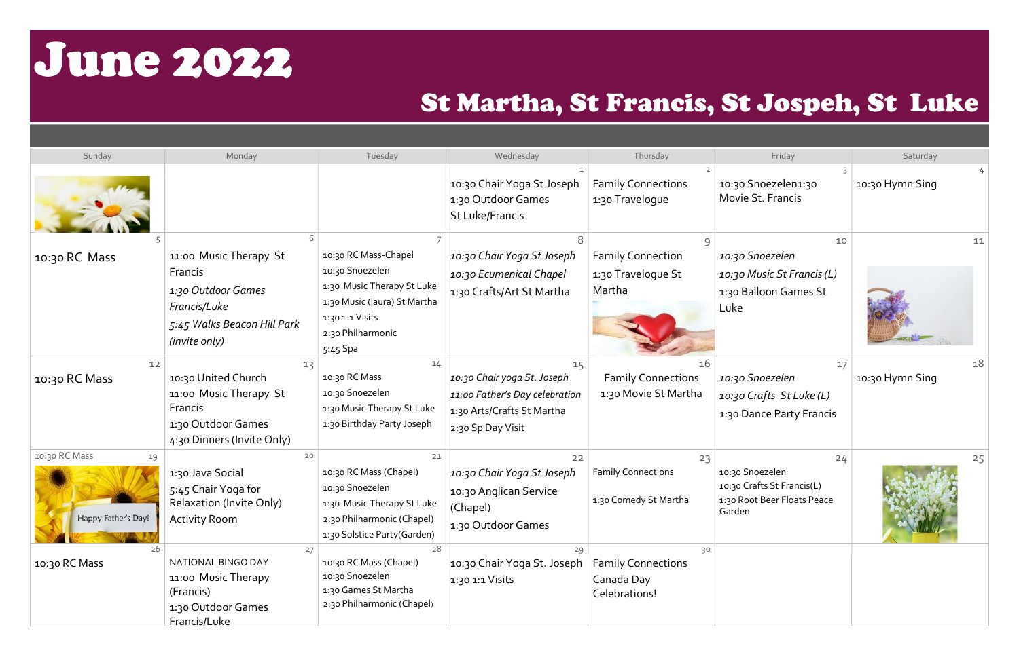## June 2022

## St Martha, St Francis, St Jospeh, St Luke

| Sunday                                     | Monday                                                                                                                  | Tuesday                                                                                                                                                   | Wednesday                                                                                                              | Thursday                                                       | Friday                                                                                       | Saturday              |
|--------------------------------------------|-------------------------------------------------------------------------------------------------------------------------|-----------------------------------------------------------------------------------------------------------------------------------------------------------|------------------------------------------------------------------------------------------------------------------------|----------------------------------------------------------------|----------------------------------------------------------------------------------------------|-----------------------|
|                                            |                                                                                                                         |                                                                                                                                                           | 10:30 Chair Yoga St Joseph<br>1:30 Outdoor Games<br>St Luke/Francis                                                    | <b>Family Connections</b><br>1:30 Travelogue                   | 10:30 Snoezelen1:30<br>Movie St. Francis                                                     | 10:30 Hymn Sing       |
| 10:30 RC Mass                              | 11:00 Music Therapy St<br>Francis<br>1:30 Outdoor Games<br>Francis/Luke<br>5:45 Walks Beacon Hill Park<br>(invite only) | 10:30 RC Mass-Chapel<br>10:30 Snoezelen<br>1:30 Music Therapy St Luke<br>1:30 Music (laura) St Martha<br>1:30 1-1 Visits<br>2:30 Philharmonic<br>5:45 Spa | 10:30 Chair Yoga St Joseph<br>10:30 Ecumenical Chapel<br>1:30 Crafts/Art St Martha                                     | <b>Family Connection</b><br>1:30 Travelogue St<br>Martha       | 10<br>10:30 Snoezelen<br>10:30 Music St Francis (L)<br>1:30 Balloon Games St<br>Luke         | 11                    |
| 12<br>10:30 RC Mass                        | 13<br>10:30 United Church<br>11:00 Music Therapy St<br>Francis<br>1:30 Outdoor Games<br>4:30 Dinners (Invite Only)      | 14<br>10:30 RC Mass<br>10:30 Snoezelen<br>1:30 Music Therapy St Luke<br>1:30 Birthday Party Joseph                                                        | 15<br>10:30 Chair yoga St. Joseph<br>11:00 Father's Day celebration<br>1:30 Arts/Crafts St Martha<br>2:30 Sp Day Visit | 16<br><b>Family Connections</b><br>1:30 Movie St Martha        | 17<br>10:30 Snoezelen<br>10:30 Crafts St Luke (L)<br>1:30 Dance Party Francis                | 18<br>10:30 Hymn Sing |
| 10:30 RC Mass<br>19<br>Happy Father's Day! | 20<br>1:30 Java Social<br>5:45 Chair Yoga for<br>Relaxation (Invite Only)<br><b>Activity Room</b>                       | 21<br>10:30 RC Mass (Chapel)<br>10:30 Snoezelen<br>1:30 Music Therapy St Luke<br>2:30 Philharmonic (Chapel)<br>1:30 Solstice Party(Garden)                | 22<br>10:30 Chair Yoga St Joseph<br>10:30 Anglican Service<br>(Chapel)<br>1:30 Outdoor Games                           | 23<br><b>Family Connections</b><br>1:30 Comedy St Martha       | 24<br>10:30 Snoezelen<br>10:30 Crafts St Francis(L)<br>1:30 Root Beer Floats Peace<br>Garden | 25                    |
| 26<br>10:30 RC Mass                        | 27<br>NATIONAL BINGO DAY<br>11:00 Music Therapy<br>(Francis)<br>1:30 Outdoor Games<br>Francis/Luke                      | 28<br>10:30 RC Mass (Chapel)<br>10:30 Snoezelen<br>1:30 Games St Martha<br>2:30 Philharmonic (Chapel)                                                     | 29<br>10:30 Chair Yoga St. Joseph<br>1:30 1:1 Visits                                                                   | 30<br><b>Family Connections</b><br>Canada Day<br>Celebrations! |                                                                                              |                       |